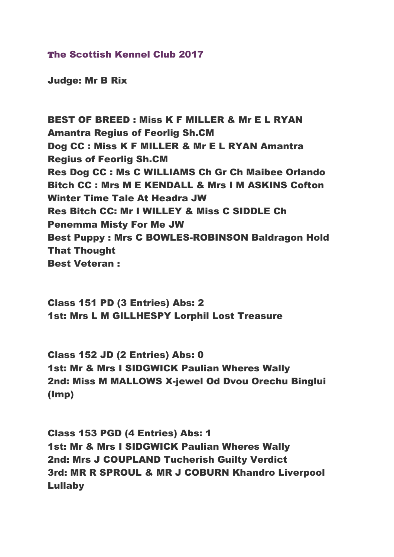## The Scottish Kennel Club 2017

Judge: Mr B Rix

BEST OF BREED : Miss K F MILLER & Mr E L RYAN Amantra Regius of Feorlig Sh.CM Dog CC : Miss K F MILLER & Mr E L RYAN Amantra Regius of Feorlig Sh.CM Res Dog CC : Ms C WILLIAMS Ch Gr Ch Maibee Orlando Bitch CC : Mrs M E KENDALL & Mrs I M ASKINS Cofton Winter Time Tale At Headra JW Res Bitch CC: Mr I WILLEY & Miss C SIDDLE Ch Penemma Misty For Me JW Best Puppy : Mrs C BOWLES-ROBINSON Baldragon Hold That Thought Best Veteran :

Class 151 PD (3 Entries) Abs: 2 1st: Mrs L M GILLHESPY Lorphil Lost Treasure

Class 152 JD (2 Entries) Abs: 0 1st: Mr & Mrs I SIDGWICK Paulian Wheres Wally 2nd: Miss M MALLOWS X-jewel Od Dvou Orechu Binglui (Imp)

Class 153 PGD (4 Entries) Abs: 1 1st: Mr & Mrs I SIDGWICK Paulian Wheres Wally 2nd: Mrs J COUPLAND Tucherish Guilty Verdict 3rd: MR R SPROUL & MR J COBURN Khandro Liverpool Lullaby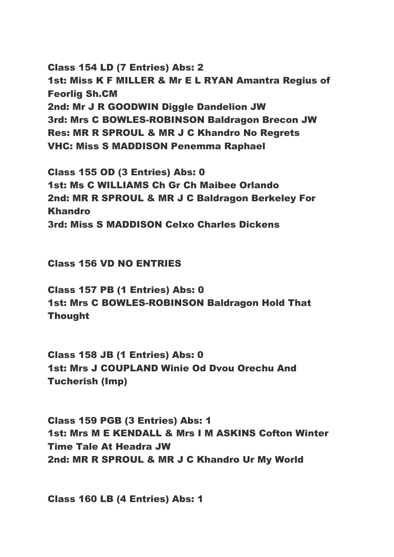Class 154 LD (7 Entries) Abs: 2 1st: Miss K F MILLER & Mr E L RYAN Amantra Regius of Feorlig Sh.CM 2nd: Mr J R GOODWIN Diggle Dandelion JW 3rd: Mrs C BOWLES-ROBINSON Baldragon Brecon JW Res: MR R SPROUL & MR J C Khandro No Regrets VHC: Miss S MADDISON Penemma Raphael

Class 155 OD (3 Entries) Abs: 0 1st: Ms C WILLIAMS Ch Gr Ch Maibee Orlando 2nd: MR R SPROUL & MR J C Baldragon Berkeley For Khandro 3rd: Miss S MADDISON Celxo Charles Dickens

Class 156 VD NO ENTRIES

Class 157 PB (1 Entries) Abs: 0 1st: Mrs C BOWLES-ROBINSON Baldragon Hold That Thought

Class 158 JB (1 Entries) Abs: 0 1st: Mrs J COUPLAND Winie Od Dvou Orechu And Tucherish (Imp)

Class 159 PGB (3 Entries) Abs: 1 1st: Mrs M E KENDALL & Mrs I M ASKINS Cofton Winter Time Tale At Headra JW 2nd: MR R SPROUL & MR J C Khandro Ur My World

Class 160 LB (4 Entries) Abs: 1